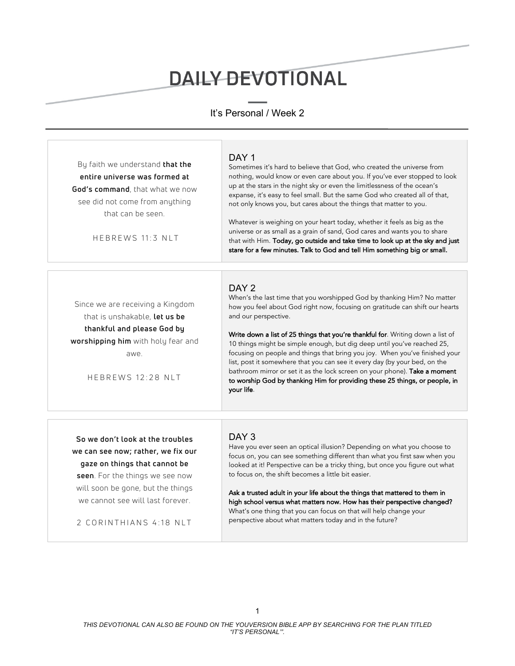# DAILY DEVOTIONAL

# It's Personal / Week 2

| By faith we understand that the<br>entire universe was formed at<br>God's command, that what we now<br>see did not come from anything<br>that can be seen.<br>HEBREWS 11:3 NLT                                                                | DAY <sub>1</sub><br>Sometimes it's hard to believe that God, who created the universe from<br>nothing, would know or even care about you. If you've ever stopped to look<br>up at the stars in the night sky or even the limitlessness of the ocean's<br>expanse, it's easy to feel small. But the same God who created all of that,<br>not only knows you, but cares about the things that matter to you.<br>Whatever is weighing on your heart today, whether it feels as big as the<br>universe or as small as a grain of sand, God cares and wants you to share<br>that with Him. Today, go outside and take time to look up at the sky and just<br>stare for a few minutes. Talk to God and tell Him something big or small. |
|-----------------------------------------------------------------------------------------------------------------------------------------------------------------------------------------------------------------------------------------------|-----------------------------------------------------------------------------------------------------------------------------------------------------------------------------------------------------------------------------------------------------------------------------------------------------------------------------------------------------------------------------------------------------------------------------------------------------------------------------------------------------------------------------------------------------------------------------------------------------------------------------------------------------------------------------------------------------------------------------------|
| Since we are receiving a Kingdom<br>that is unshakable, let us be<br>thankful and please God by<br>worshipping him with holy fear and<br>awe.<br>HEBREWS 12:28 NLT                                                                            | DAY 2<br>When's the last time that you worshipped God by thanking Him? No matter<br>how you feel about God right now, focusing on gratitude can shift our hearts<br>and our perspective.<br>Write down a list of 25 things that you're thankful for. Writing down a list of<br>10 things might be simple enough, but dig deep until you've reached 25,<br>focusing on people and things that bring you joy. When you've finished your<br>list, post it somewhere that you can see it every day (by your bed, on the<br>bathroom mirror or set it as the lock screen on your phone). Take a moment<br>to worship God by thanking Him for providing these 25 things, or people, in<br>your life.                                    |
| So we don't look at the troubles<br>we can see now; rather, we fix our<br>gaze on things that cannot be<br>seen. For the things we see now<br>will soon be gone, but the things<br>we cannot see will last forever.<br>2 CORINTHIANS 4:18 NLT | DAY 3<br>Have you ever seen an optical illusion? Depending on what you choose to<br>focus on, you can see something different than what you first saw when you<br>looked at it! Perspective can be a tricky thing, but once you figure out what<br>to focus on, the shift becomes a little bit easier.<br>Ask a trusted adult in your life about the things that mattered to them in<br>high school versus what matters now. How has their perspective changed?<br>What's one thing that you can focus on that will help change your<br>perspective about what matters today and in the future?                                                                                                                                   |